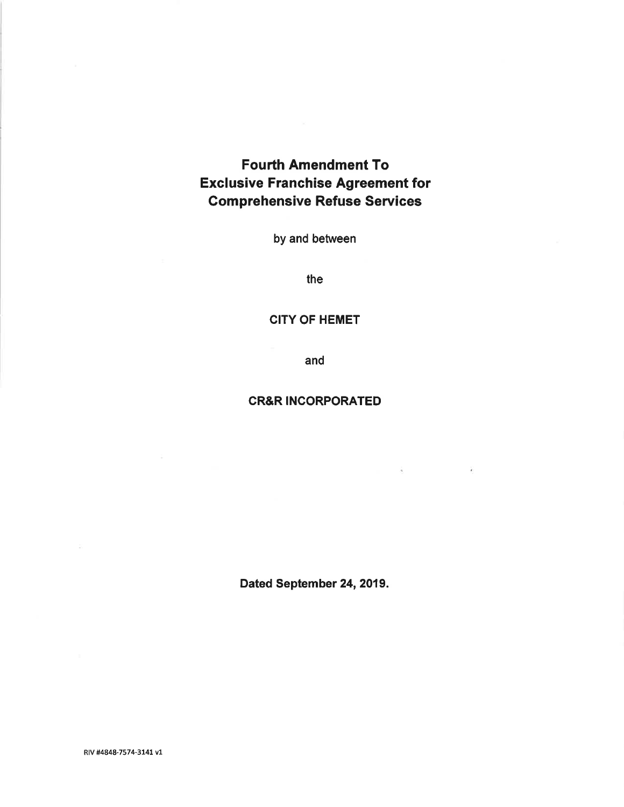# Fourth Amendment To Exclusive Franchise Agreement for Gomprehensive Refuse Seruices

by and between

the

## CITY OF HEMET

and

## CR&R INCORPORATED

 $\tilde{\mathcal{A}}$ 

 $\sim$  100  $\mu$ 

Dated September 24, 2019.

RIV #4848-7574-3141 v1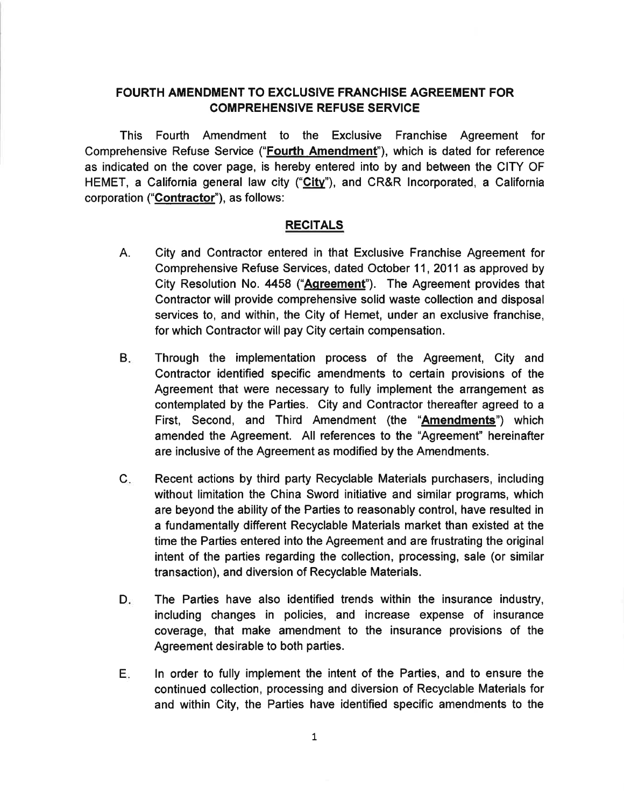# FOURTH AMENDMENT TO EXCLUSIVE FRANCHISE AGREEMENT FOR COMPREHENSIVE REFUSE SERVICE

This Fourth Amendment to the Exclusive Franchise Agreement for Comprehensive Refuse Service ("Fourth Amendment"), which is dated for reference as indicated on the cover page, is hereby entered into by and between the CITY OF HEMET, a California general law city ("City"), and CR&R Incorporated, a California corporation ("Contractor"), as follows:

## RECITALS

- A. City and Contractor entered in that Exclusive Franchise Agreement for Comprehensive Refuse Services, dated October 11, 2011 as approved by City Resolution No. 4458 ("Agreement"). The Agreement provides that Contractor will provide comprehensive solid waste collection and disposal services to, and within, the City of Hemet, under an exclusive franchise, for which Contractor will pay City certain compensation.
- Through the implementation process of the Agreement, City and Contractor identified specific amendments to certain provisions of the Agreement that were necessary to fully implement the arrangement as contemplated by the Parties. City and Contractor thereafter agreed to a First, Second, and Third Amendment (the "**Amendments**") which amended the Agreement. All references to the "Agreement" hereinafter are inclusive of the Agreement as modified by the Amendments.  $B_{\cdot}$
- Recent actions by third party Recyclable Materials purchasers, including without limitation the China Sword initiative and similar programs, which are beyond the ability of the Parties to reasonably control, have resulted in a fundamentally different Recyclable Materials market than existed at the time the Parties entered into the Agreement and are frustrating the original intent of the parties regarding the collection, processing, sale (or similar transaction), and diversion of Recyclable Materials.  $C_{\cdot}$
- The Parties have also identified trends within the insurance industry, including changes in policies, and increase expense of insurance coverage, that make amendment to the insurance provisions of the Agreement desirable to both parties.  $D_{\rm{in}}$
- ln order to fully implement the intent of the Parties, and to ensure the continued collection, processing and diversion of Recyclable Materials for and within City, the Parties have identified specific amendments to the E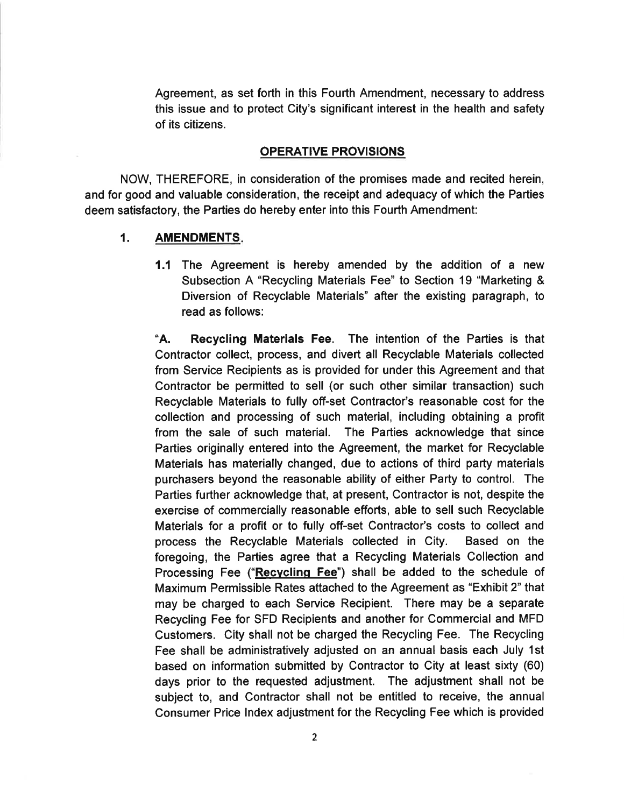Agreement, as set forth in this Fourth Amendment, necessary to address this issue and to protect City's significant interest in the health and safety of its citizens.

## OPERATIVE PROVISIONS

NOW, THEREFORE, in consideration of the promises made and recited herein, and for good and valuable consideration, the receipt and adequacy of which the Parties deem satisfactory, the Parties do hereby enter into this Fourth Amendment:

### 1. AMENDMENTS

1.1 The Agreement is hereby amended by the addition of a new Subsection A "Recycling Materials Fee" to Section 19 "Marketing & Diversion of Recyclable Materials" after the existing paragraph, to read as follows:

"A. Recycling Materials Fee. The intention of the Parties is that Contractor collect, process, and divert all Recyclable Materials collected from Service Recipients as is provided for under this Agreement and that Contractor be permitted to sell (or such other similar transaction) such Recyclable Materials to fully off-set Contractor's reasonable cost for the collection and processing of such material, including obtaining a profit from the sale of such material. The Parties acknowledge that since Parties originally entered into the Agreement, the market for Recyclable Materials has materially changed, due to actions of third party materials purchasers beyond the reasonable ability of either Party to control. The Partíes further acknowledge that, at present, Contractor is not, despite the exercise of commercially reasonable efforts, able to sell such Recyclable Materials for a profit or to fully off-set Contractor's costs to collect and process the Recyclable Materials collected in City. Based on the foregoing, the Parties agree that a Recycling Materials Collection and Processing Fee ("Recycling Fee") shall be added to the schedule of Maximum Permissible Rates attached to the Agreement as "Exhibit 2" that may be charged to each Service Recipient. There may be a separate Recycling Fee for SFD Recipients and another for Commercial and MFD Customers. City shall not be charged the Recycling Fee. The Recycling Fee shall be administratively adjusted on an annual basis each July 1st based on information submitted by Contractor to City at least sixty (60) days prior to the requested adjustment. The adjustment shall not be subject to, and Contractor shall not be entitled to receive, the annual Consumer Price lndex adjustment for the Recycling Fee which is provided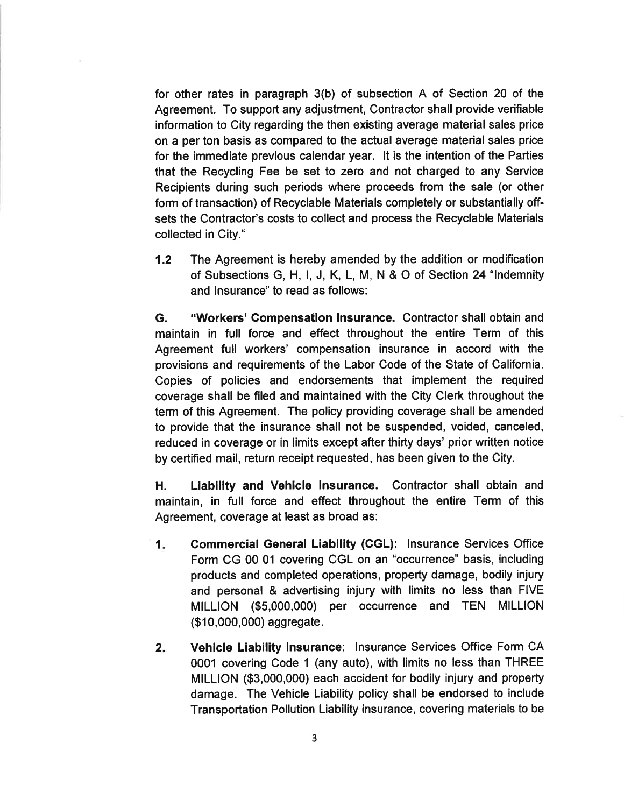for other rates in paragraph 3(b) of subsection A of Section 20 of the Agreement. To support any adjustment, Contractor shall provide verifiable information to City regarding the then existing average material sales price on a per ton basis as compared to the actual average material sales price for the immediate previous calendar year. lt is the intention of the Parties that the Recycling Fee be set to zero and not charged to any Service Recipients during such periods where proceeds from the sale (or other form of transaction) of Recyclable Materials completely or substantially offsets the Contractor's costs to collect and process the Recyclable Materials collected in City."

1.2 The Agreement is hereby amended by the addition or modification of Subsections G, H, l, J, K, L, M, N & O of Section 24 "lndemnity and lnsurance" to read as follows:

G. "Workers' Gompensation lnsurance. Contractor shall obtain and maintain in full force and effect throughout the entire Term of this Agreement full workers' compensation insurance in accord with the provisions and requirements of the Labor Code of the State of California. Copies of policies and endorsements that implement the required coverage shall be filed and maintained with the City Clerk throughout the term of this Agreement. The policy providing coverage shall be amended to provide that the insurance shall not be suspended, voided, canceled, reduced in coverage or in limits except after thirty days' prior written notice by certified mail, return receipt requested, has been given to the City.

H. Liability and Vehicle lnsurance. Contractor shall obtain and maintain, in full force and effect throughout the entire Term of this Agreement, coverage at least as broad as:

- Commercial General Liability (GGL): lnsurance Services Office Form CG 00 01 covering CGL on an "occurrence" basis, including products and completed operations, property damage, bodily injury and personal & advertising injury with limits no less than FIVE MILLION (\$5,000,000) per occurrence and TEN MILLION (\$1 0,000,000) aggregate.  $1<sub>r</sub>$
- Vehicle Liability lnsurance: lnsurance Services Office Form CA 0001 covering Code 1 (any auto), with limits no less than THREE MILLION (\$3,000,000) each accident for bodily injury and property damage. The Vehicle Liability policy shall be endorsed to include Transportation Pollution Liability insurance, covering materials to be 2.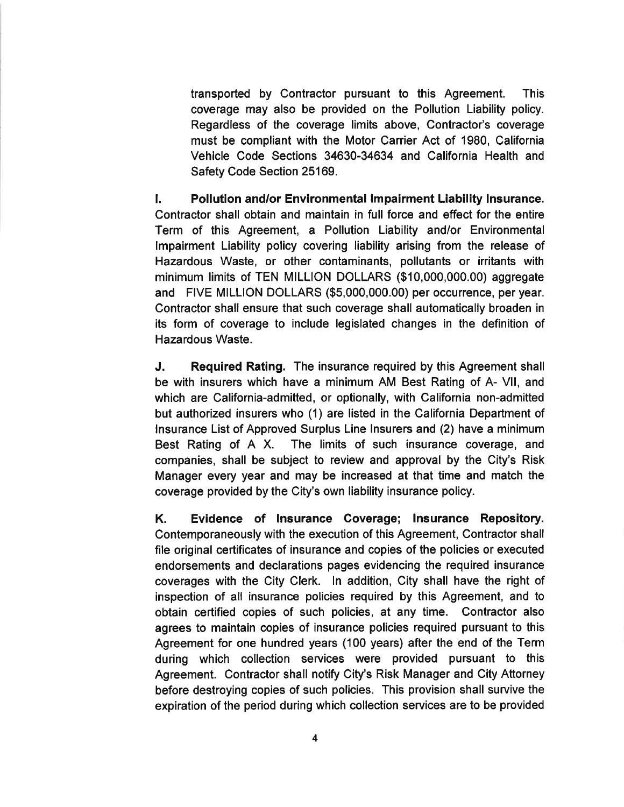transported by Contractor pursuant to this Agreement. This coverage may also be provided on the Pollution Liability policy. Regardless of the coverage limits above, Contractor's coverage must be compliant with the Motor Carrier Act of 1980, California Vehicle Code Sections 34630-34634 and California Health and Safety Code Section 25169.

l. Pollution and/or Environmental lmpairment Liability lnsurance. Contractor shall obtain and maintain in full force and effect for the entire Term of this Agreement, a Pollution Liability and/or Environmental lmpairment Liability policy covering liability arising from the release of Hazardous Waste, or other contaminants, pollutants or irritants with minimum limits of TEN MILLION DOLLARS (\$10,000,000.00) aggregate and FIVE MILLION DOLLARS (\$5,000,000.00) per occurrence, per year. Contractor shall ensure that such coverage shall automatically broaden in its form of coverage to include legislated changes in the definition of Hazardous Waste.

J. Required Rating. The insurance required by this Agreement shall be with insurers which have a minimum AM Best Rating of A- Vll, and which are California-admitted, or optionally, with California non-admitted but authorized insurers who (1) are listed in the California Department of lnsurance List of Approved Surplus Line lnsurers and (2) have a minimum Best Rating of A X. The limits of such insurance coverage, and companies, shall be subject to review and approval by the City's Risk Manager every year and may be increased at that time and match the coverage provided by the City's own liability insurance policy.

K. Evidence of Insurance Coverage; lnsurance Repository. Contemporaneously with the execution of this Agreement, Contractor shall file original certificates of insurance and copies of the policies or executed endorsements and declarations pages evidencing the required insurance coverages with the City Clerk. ln addition, City shall have the right of inspection of all insurance policies required by this Agreement, and to obtain certified copies of such policies, at any time. Contractor also agrees to maintain copies of insurance policies required pursuant to this Agreement for one hundred years (100 years) after the end of the Term during which collection services were provided pursuant to this Agreement. Contractor shall notify City's Risk Manager and City Attorney before destroying copies of such policies. This provision shall survive the expiration of the period during which collection services are to be provided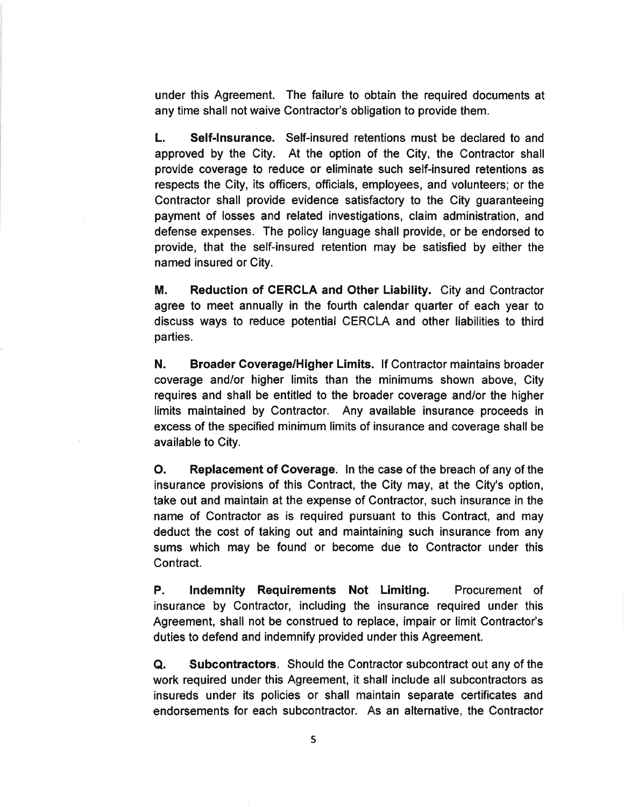under this Agreement. The failure to obtain the required documents at any time shall not waive Contractor's obligation to provide them.

L. Self-lnsurance. Self-insured retentions must be declared to and approved by the City. At the option of the City, the Contractor shall provide coverage to reduce or eliminate such self-insured retentions as respects the City, its officers, officials, employees, and volunteers; or the Contractor shall provide evidence satisfactory to the City guaranteeing payment of losses and related investigations, claim administration, and defense expenses. The policy language shall provide, or be endorsed to provide, that the self-insured retention may be satisfied by either the named insured or City.

M. Reduction of CERCLA and Other Liability. City and Contractor agree to meet annually in the fourth calendar quarter of each year to discuss ways to reduce potential CERCLA and other liabilities to third parties.

N. Broader Coverage/Higher Limits. lf Contractor maintains broader coverage and/or higher limits than the minimums shown above, City requires and shall be entitled to the broader coverage and/or the higher limits maintained by Contractor. Any available insurance proceeds in excess of the specified minimum limits of insurance and coverage shall be available to City.

O. Replacement of Coverage. In the case of the breach of any of the insurance provisions of this Contract, the City may, at the City's option, take out and maintain at the expense of Contractor, such insurance in the name of Contractor as is required pursuant to this Contract, and may deduct the cost of taking out and maintaining such insurance from any sums which may be found or become due to Contractor under this Contract.

P. lndemnity Requirements Not Limiting. Procurement of insurance by Contractor, including the insurance required under this Agreement, shall not be construed to replace, impair or limit Contractor's duties to defend and indemnify provided under this Agreement.

O. Subcontractors. Should the Contractor subcontract out any of the work required under this Agreement, it shall include all subcontractors as insureds under its policies or shall maintain separate certificates and endorsements for each subcontractor. As an alternative, the Contractor

5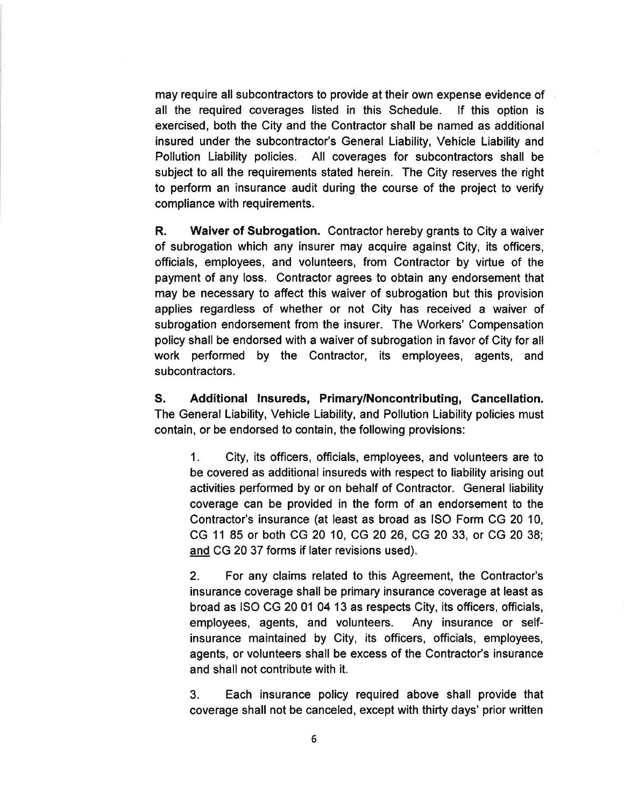may require all subcontractors to provide at their own expense evidence of all the required coverages listed in this Schedule. lf this option is exercised, both the City and the Contractor shall be named as additional insured under the subcontractor's General Liability, Vehicle Liability and Pollution Liability policies. All coverages for subcontractors shall be subject to all the requirements stated herein. The City reserves the right to perform an insurance audit during the course of the project to verify compliance with requirements.

R. Waiver of Subrogation. Contractor hereby grants to City a waiver of subrogation which any insurer may acquire against City, its officers, officials, employees, and volunteers, from Contractor by virtue of the payment of any loss. Contractor agrees to obtain any endorsement that may be necessary to affect this waiver of subrogation but this provision applies regardless of whether or not City has received a waiver of subrogation endorsement from the insurer. The Workers' Compensation policy shall be endorsed with a waíver of subrogation in favor of City for all work performed by the Contractor, its employees, agents, and subcontractors.

S. Additional lnsureds, Primary/Noncontributing, Cancellation. The General Liability, Vehicle Liability, and Pollution Liability policies must contain, or be endorsed to contain, the following provisions:

1. City, its officers, officials, employees, and volunteers are to be covered as additional insureds with respect to liability arising out activities performed by or on behalf of Contractor. General liability coverage can be provided in the form of an endorsement to the Contractor's insurance (at least as broad as ISO Form CG 20 10, CG 11 85 or both CG 20 10, CG 20 26, CG 20 33, or CG 20 38; and CG 20 37 forms if later revisions used).

2. For any claims related to this Agreement, the Contractor's insurance coverage shall be primary insurance coverage at least as broad as ISO CG 20 01 04 13 as respects City, its officers, officials, employees, agents, and volunteers. Any insurance or selfinsurance maintaíned by City, its officers, officials, employees, agents, or volunteers shall be excess of the Contractor's insurance and shall not contribute with it.

3. Each insurance policy required above shall provide that coverage shall not be canceled, except with thirty days' prior written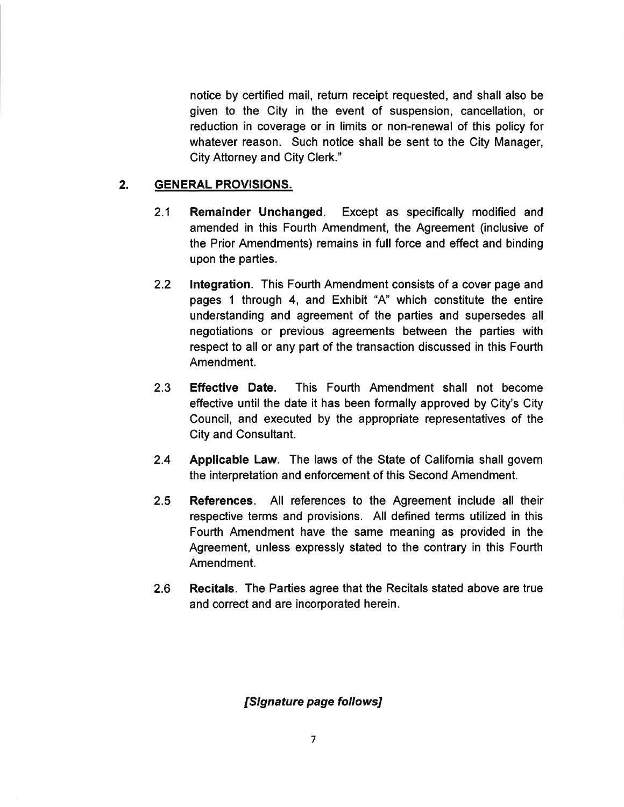notice by certified mail, return receipt requested, and shall also be given to the City in the event of suspension, cancellation, or reduction in coverage or in limits or non-renewal of this policy for whatever reason. Such notice shall be sent to the City Manager, City Attorney and City Clerk."

## 2. GENERAL PROVISIONS.

- 2.1 Remainder Unchanged. Except as specifically modified and amended in this Fourth Amendment, the Agreement (inclusive of the Prior Amendments) remains in full force and effect and binding upon the parties.
- 2.2 lntegration. This Fourth Amendment consists of a cover page and pages 1 through 4, and Exhibit "4" which constitute the entire understanding and agreement of the parties and supersedes all negotiations or previous agreements between the parties with respect to all or any part of the transaction discussed in this Fourth Amendment.
- 2.3 Effective Date. This Fourth Amendment shall not become effective until the date it has been formally approved by City's City Council, and executed by the appropriate representatives of the City and Consultant.
- 2.4 Applicable Law. The laws of the State of California shall govern the interpretation and enforcement of this Second Amendment.
- 2.5 References. All references to the Agreement include all their respective terms and provisions. All defined terms utilized in this Fourth Amendment have the same meaning as provided in the Agreement, unless expressly stated to the contrary in this Fourth Amendment.
- 2.6 Recitals. The Parties agree that the Recitals stated above are true and correct and are incorporated herein.

# [Signature page follows]